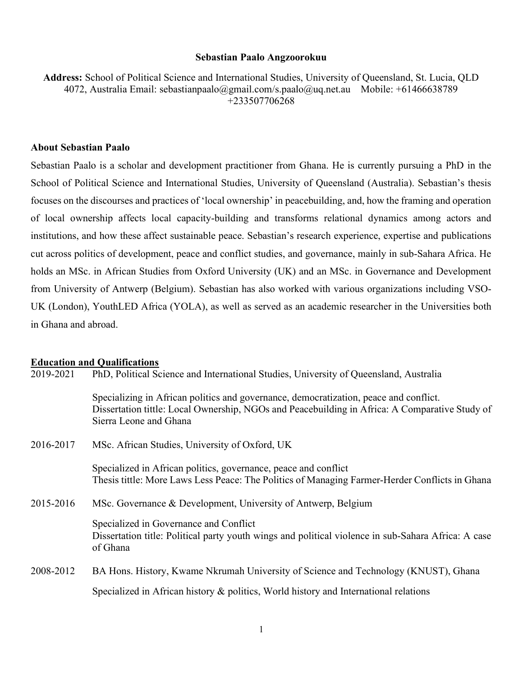#### Sebastian Paalo Angzoorokuu

Address: School of Political Science and International Studies, University of Queensland, St. Lucia, QLD 4072, Australia Email: sebastianpaalo@gmail.com/s.paalo@uq.net.au Mobile: +61466638789 +233507706268

#### About Sebastian Paalo

Sebastian Paalo is a scholar and development practitioner from Ghana. He is currently pursuing a PhD in the School of Political Science and International Studies, University of Queensland (Australia). Sebastian's thesis focuses on the discourses and practices of 'local ownership' in peacebuilding, and, how the framing and operation of local ownership affects local capacity-building and transforms relational dynamics among actors and institutions, and how these affect sustainable peace. Sebastian's research experience, expertise and publications cut across politics of development, peace and conflict studies, and governance, mainly in sub-Sahara Africa. He holds an MSc. in African Studies from Oxford University (UK) and an MSc. in Governance and Development from University of Antwerp (Belgium). Sebastian has also worked with various organizations including VSO-UK (London), YouthLED Africa (YOLA), as well as served as an academic researcher in the Universities both in Ghana and abroad.

# **Education and Qualifications**<br>2019-2021 PhD, Political Sc

PhD, Political Science and International Studies, University of Queensland, Australia

Specializing in African politics and governance, democratization, peace and conflict. Dissertation tittle: Local Ownership, NGOs and Peacebuilding in Africa: A Comparative Study of Sierra Leone and Ghana

2016-2017 MSc. African Studies, University of Oxford, UK

 Specialized in African politics, governance, peace and conflict Thesis tittle: More Laws Less Peace: The Politics of Managing Farmer-Herder Conflicts in Ghana

2015-2016 MSc. Governance & Development, University of Antwerp, Belgium

Specialized in Governance and Conflict Dissertation title: Political party youth wings and political violence in sub-Sahara Africa: A case of Ghana

# 2008-2012 BA Hons. History, Kwame Nkrumah University of Science and Technology (KNUST), Ghana Specialized in African history & politics, World history and International relations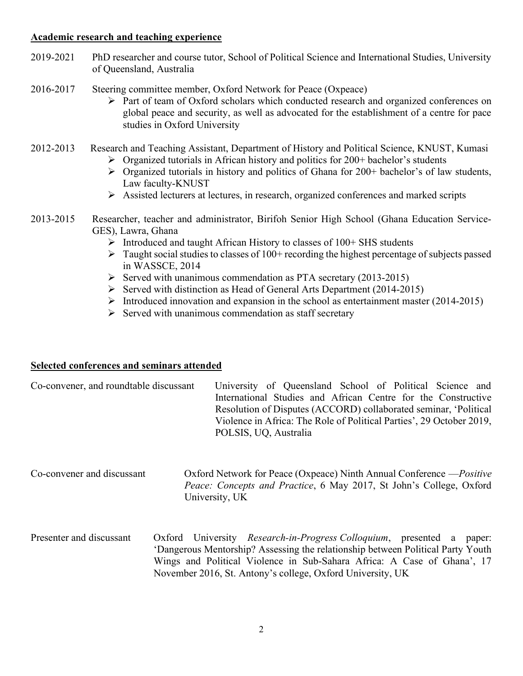#### Academic research and teaching experience

- 2019-2021 PhD researcher and course tutor, School of Political Science and International Studies, University of Queensland, Australia
- 2016-2017 Steering committee member, Oxford Network for Peace (Oxpeace)
	- Part of team of Oxford scholars which conducted research and organized conferences on global peace and security, as well as advocated for the establishment of a centre for pace studies in Oxford University

# 2012-2013 Research and Teaching Assistant, Department of History and Political Science, KNUST, Kumasi

- $\triangleright$  Organized tutorials in African history and politics for 200+ bachelor's students
- $\triangleright$  Organized tutorials in history and politics of Ghana for 200+ bachelor's of law students, Law faculty-KNUST
- Assisted lecturers at lectures, in research, organized conferences and marked scripts

### 2013-2015 Researcher, teacher and administrator, Birifoh Senior High School (Ghana Education Service-GES), Lawra, Ghana

- $\triangleright$  Introduced and taught African History to classes of 100+ SHS students
- $\triangleright$  Taught social studies to classes of 100+ recording the highest percentage of subjects passed in WASSCE, 2014
- $\triangleright$  Served with unanimous commendation as PTA secretary (2013-2015)
- $\triangleright$  Served with distinction as Head of General Arts Department (2014-2015)
- Introduced innovation and expansion in the school as entertainment master  $(2014-2015)$
- $\triangleright$  Served with unanimous commendation as staff secretary

# Selected conferences and seminars attended

| Co-convener, and roundtable discussant | University of Queensland School of Political Science and             |  |  |
|----------------------------------------|----------------------------------------------------------------------|--|--|
|                                        | International Studies and African Centre for the Constructive        |  |  |
|                                        | Resolution of Disputes (ACCORD) collaborated seminar, 'Political     |  |  |
|                                        | Violence in Africa: The Role of Political Parties', 29 October 2019, |  |  |
|                                        | POLSIS, UQ, Australia                                                |  |  |

Co-convener and discussant Oxford Network for Peace (Oxpeace) Ninth Annual Conference —Positive Peace: Concepts and Practice, 6 May 2017, St John's College, Oxford University, UK

Presenter and discussant Oxford University Research-in-Progress Colloquium, presented a paper: 'Dangerous Mentorship? Assessing the relationship between Political Party Youth Wings and Political Violence in Sub-Sahara Africa: A Case of Ghana', 17 November 2016, St. Antony's college, Oxford University, UK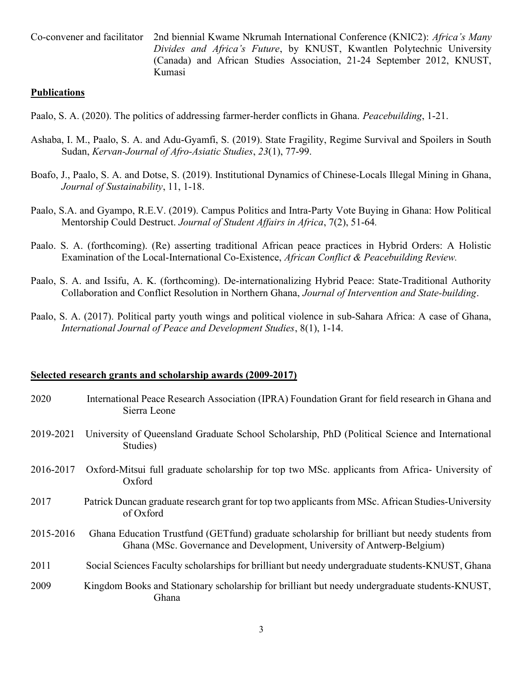Co-convener and facilitator 2nd biennial Kwame Nkrumah International Conference (KNIC2): Africa's Many Divides and Africa's Future, by KNUST, Kwantlen Polytechnic University (Canada) and African Studies Association, 21-24 September 2012, KNUST, Kumasi

#### **Publications**

- Paalo, S. A. (2020). The politics of addressing farmer-herder conflicts in Ghana. *Peacebuilding*, 1-21.
- Ashaba, I. M., Paalo, S. A. and Adu-Gyamfi, S. (2019). State Fragility, Regime Survival and Spoilers in South Sudan, Kervan-Journal of Afro-Asiatic Studies, 23(1), 77-99.
- Boafo, J., Paalo, S. A. and Dotse, S. (2019). Institutional Dynamics of Chinese-Locals Illegal Mining in Ghana, Journal of Sustainability, 11, 1-18.
- Paalo, S.A. and Gyampo, R.E.V. (2019). Campus Politics and Intra-Party Vote Buying in Ghana: How Political Mentorship Could Destruct. Journal of Student Affairs in Africa, 7(2), 51-64.
- Paalo. S. A. (forthcoming). (Re) asserting traditional African peace practices in Hybrid Orders: A Holistic Examination of the Local-International Co-Existence, *African Conflict & Peacebuilding Review*.
- Paalo, S. A. and Issifu, A. K. (forthcoming). De-internationalizing Hybrid Peace: State-Traditional Authority Collaboration and Conflict Resolution in Northern Ghana, Journal of Intervention and State-building.
- Paalo, S. A. (2017). Political party youth wings and political violence in sub-Sahara Africa: A case of Ghana, International Journal of Peace and Development Studies, 8(1), 1-14.

#### Selected research grants and scholarship awards (2009-2017)

| 2020      | International Peace Research Association (IPRA) Foundation Grant for field research in Ghana and<br>Sierra Leone                                                         |
|-----------|--------------------------------------------------------------------------------------------------------------------------------------------------------------------------|
| 2019-2021 | University of Queensland Graduate School Scholarship, PhD (Political Science and International<br>Studies)                                                               |
| 2016-2017 | Oxford-Mitsui full graduate scholarship for top two MSc. applicants from Africa- University of<br>Oxford                                                                 |
| 2017      | Patrick Duncan graduate research grant for top two applicants from MSc. African Studies-University<br>of Oxford                                                          |
| 2015-2016 | Ghana Education Trustfund (GETfund) graduate scholarship for brilliant but needy students from<br>Ghana (MSc. Governance and Development, University of Antwerp-Belgium) |
| 2011      | Social Sciences Faculty scholarships for brilliant but needy undergraduate students-KNUST, Ghana                                                                         |
| 2009      | Kingdom Books and Stationary scholarship for brilliant but needy undergraduate students-KNUST,<br>Ghana                                                                  |